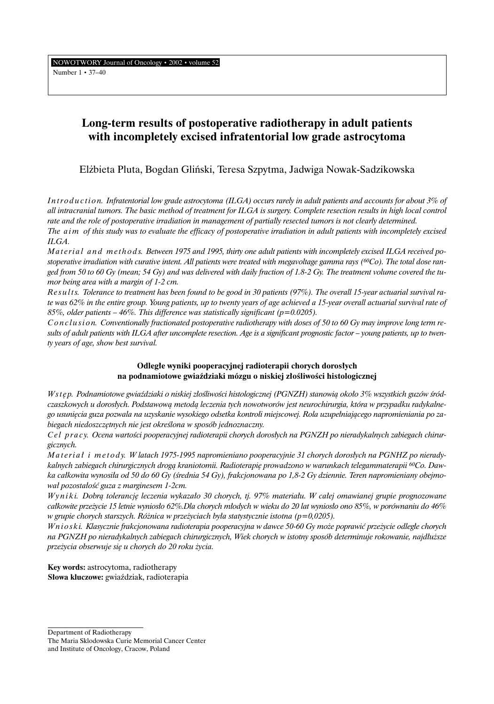NOWOTWORY Journal of Oncology • 2002 • volume 52 Number 1 • 37–40

# **Long-term results of postoperative radiotherapy in adult patients with incompletely excised infratentorial low grade astrocytoma**

El˝bieta Pluta, Bogdan Gliƒski, Teresa Szpytma, Jadwiga Nowak-Sadzikowska

*I n t r o d u c t i o n. Infratentorial low grade astrocytoma (ILGA) occurs rarely in adult patients and accounts for about 3% of all intracranial tumors. The basic method of treatment for ILGA is surgery. Complete resection results in high local control rate and the role of postoperative irradiation in management of partially resected tumors is not clearly determined. The aim of this study was to evaluate the efficacy of postoperative irradiation in adult patients with incompletely excised ILGA.*

Material and methods. Between 1975 and 1995, thirty one adult patients with incompletely excised ILGA received po*stoperative irradiation with curative intent. All patients were treated with megavoltage gamma rays (60Co). The total dose ranged from 50 to 60 Gy (mean; 54 Gy) and was delivered with daily fraction of 1.8-2 Gy. The treatment volume covered the tumor being area with a margin of 1-2 cm.*

Results. Tolerance to treatment has been found to be good in 30 patients (97%). The overall 15-year actuarial survival ra*te was 62% in the entire group. Young patients, up to twenty years of age achieved a 15-year overall actuarial survival rate of 85%, older patients – 46%. This difference was statistically significant (p=0.0205).*

*C o n c l u s i o n. Conventionally fractionated postoperative radiotherapy with doses of 50 to 60 Gy may improve long term results of adult patients with ILGA after uncomplete resection. Age is a significant prognostic factor – young patients, up to twenty years of age, show best survival.*

## **Odleg∏e wyniki pooperacyjnej radioterapii chorych doros∏ych na podnamiotowe gwiaêdziaki mózgu o niskiej z∏oÊliwoÊci histologicznej**

*W st e p. Podnamiotowe gwiaździaki o niskiej złośliwości histologicznej (PGNZH) stanowia około 3% wszystkich guzów śródczaszkowych u doros∏ych. Podstawowà metodà leczenia tych nowotworów jest neurochirurgia, która w przypadku radykalnego usuni´cia guza pozwala na uzyskanie wysokiego odsetka kontroli miejscowej. Rola uzupe∏niajàcego napromieniania po zabiegach niedoszcz´tnych nie jest okreÊlona w sposób jednoznaczny.*

*C e l p r a c y. Ocena wartoÊci pooperacyjnej radioterapii chorych doros∏ych na PGNZH po nieradykalnych zabiegach chirurgicznych.*

*Materiał i metody. W latach 1975-1995 napromieniano pooperacyjnie 31 chorych dorosłych na PGNHZ po nierady*kalnych zabiegach chirurgicznych drogą kraniotomii. Radioterapię prowadzono w warunkach telegammaterapii <sup>60</sup>Co. Daw*ka ca∏kowita wynosi∏a od 50 do 60 Gy (Êrednia 54 Gy), frakcjonowana po 1,8-2 Gy dziennie. Teren napromieniany obejmowa∏ pozosta∏oÊç guza z marginesem 1-2cm.*

*W y n i k i. Dobrà tolerancj´ leczenia wykaza∏o 30 chorych, tj. 97% materia∏u. W ca∏ej omawianej grupie prognozowane ca∏kowite prze˝ycie 15 letnie wynios∏o 62%.Dla chorych m∏odych w wieku do 20 lat wynios∏o ono 85%, w porównaniu do 46% w grupie chorych starszych. Różnica w przeżyciach była statystycznie istotna (p=0,0205).* 

*W n i o s k i. Klasycznie frakcjonowana radioterapia pooperacyjna w dawce 50-60 Gy mo˝e poprawiç prze˝ycie odleg∏e chorych na PGNZH po nieradykalnych zabiegach chirurgicznych, Wiek chorych w istotny sposób determinuje rokowanie, najd∏u˝sze prze˝ycia obserwuje si´ u chorych do 20 roku ˝ycia.*

**Key words:** astrocytoma, radiotherapy **S∏owa kluczowe:** gwiaêdziak, radioterapia

Department of Radiotherapy The Maria Sklodowska Curie Memorial Cancer Center and Institute of Oncology, Cracow, Poland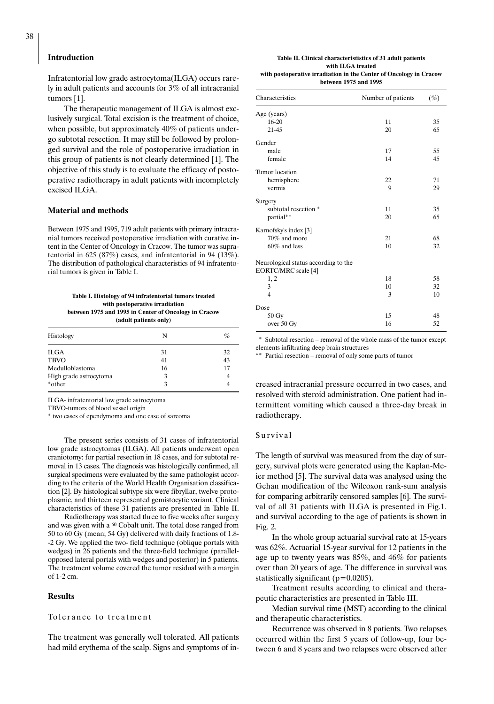#### **Introduction**

Infratentorial low grade astrocytoma(ILGA) occurs rarely in adult patients and accounts for 3% of all intracranial tumors [1].

The therapeutic management of ILGA is almost exclusively surgical. Total excision is the treatment of choice, when possible, but approximately 40% of patients undergo subtotal resection. It may still be followed by prolonged survival and the role of postoperative irradiation in this group of patients is not clearly determined [1]. The objective of this study is to evaluate the efficacy of postoperative radiotherapy in adult patients with incompletely excised ILGA.

#### **Material and methods**

Between 1975 and 1995, 719 adult patients with primary intracranial tumors received postoperative irradiation with curative intent in the Center of Oncology in Cracow. The tumor was supratentorial in 625 (87%) cases, and infratentorial in 94 (13%). The distribution of pathological characteristics of 94 infratentorial tumors is given in Table I.

#### **Table I. Histology of 94 infratentorial tumors treated with postoperative irradiation between 1975 and 1995 in Center of Oncology in Cracow**

**(adult patients only)**

| Histology              | N  | $\%$ |
|------------------------|----|------|
| <b>ILGA</b>            | 31 | 32   |
| <b>TBVO</b>            | 41 | 43   |
| Medulloblastoma        | 16 | 17   |
| High grade astrocytoma | 3  |      |
| *other                 | 3  |      |

ILGA- infratentorial low grade astrocytoma

TBVO-tumors of blood vessel origin

\* two cases of ependymoma and one case of sarcoma

The present series consists of 31 cases of infratentorial low grade astrocytomas (ILGA). All patients underwent open craniotomy: for partial resection in 18 cases, and for subtotal removal in 13 cases. The diagnosis was histologically confirmed, all surgical specimens were evaluated by the same pathologist according to the criteria of the World Health Organisation classification [2]. By histological subtype six were fibryllar, twelve protoplasmic, and thirteen represented gemistocytic variant. Clinical characteristics of these 31 patients are presented in Table II.

Radiotherapy was started three to five weeks after surgery and was given with a <sup>60</sup> Cobalt unit. The total dose ranged from 50 to 60 Gy (mean; 54 Gy) delivered with daily fractions of 1.8- -2 Gy. We applied the two- field technique (oblique portals with wedges) in 26 patients and the three-field technique (parallelopposed lateral portals with wedges and posterior) in 5 patients. The treatment volume covered the tumor residual with a margin of 1-2 cm.

#### **Results**

### To le rance to treatment

The treatment was generally well tolerated. All patients had mild erythema of the scalp. Signs and symptoms of in-

#### **Table II. Clinical characterististics of 31 adult patients with ILGA treated with postoperative irradiation in the Center of Oncology in Cracow between 1975 and 1995**

| Characteristics                                             | Number of patients | $(\%)$ |
|-------------------------------------------------------------|--------------------|--------|
| Age (years)                                                 |                    |        |
| $16 - 20$                                                   | 11                 | 35     |
| $21 - 45$                                                   | 20                 | 65     |
| Gender                                                      |                    |        |
| male                                                        | 17                 | 55     |
| female                                                      | 14                 | 45     |
| Tumor location                                              |                    |        |
| hemisphere                                                  | 22                 | 71     |
| vermis                                                      | 9                  | 29     |
| Surgery                                                     |                    |        |
| subtotal resection *                                        | 11                 | 35     |
| partial**                                                   | 20                 | 65     |
| Karnofsky's index [3]                                       |                    |        |
| 70% and more                                                | 21                 | 68     |
| $60\%$ and less                                             | 10                 | 32     |
| Neurological status according to the<br>EORTC/MRC scale [4] |                    |        |
| 1, 2                                                        | 18                 | 58     |
| 3                                                           | 10                 | 32     |
| 4                                                           | 3                  | 10     |
| Dose                                                        |                    |        |
| 50 Gy                                                       | 15                 | 48     |
| over 50 Gy                                                  | 16                 | 52     |

\* Subtotal resection – removal of the whole mass of the tumor except elements infiltrating deep brain structures

\*\* Partial resection – removal of only some parts of tumor

creased intracranial pressure occurred in two cases, and resolved with steroid administration. One patient had intermittent vomiting which caused a three-day break in radiotherapy.

#### Survival

The length of survival was measured from the day of surgery, survival plots were generated using the Kaplan-Meier method [5]. The survival data was analysed using the Gehan modification of the Wilcoxon rank-sum analysis for comparing arbitrarily censored samples [6]. The survival of all 31 patients with ILGA is presented in Fig.1. and survival according to the age of patients is shown in Fig. 2.

In the whole group actuarial survival rate at 15-years was 62%. Actuarial 15-year survival for 12 patients in the age up to twenty years was 85%, and 46% for patients over than 20 years of age. The difference in survival was statistically significant ( $p=0.0205$ ).

Treatment results according to clinical and therapeutic characteristics are presented in Table III.

Median survival time (MST) according to the clinical and therapeutic characteristics.

Recurrence was observed in 8 patients. Two relapses occurred within the first 5 years of follow-up, four between 6 and 8 years and two relapses were observed after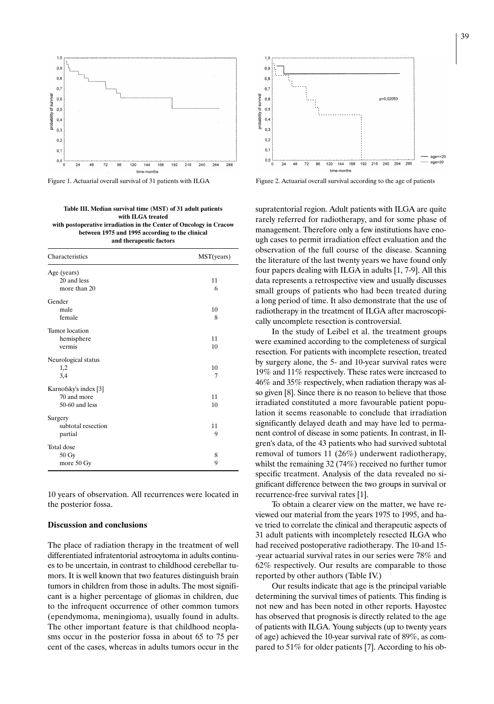

**Table III. Median survival time (MST) of 31 adult patients with ILGA treated with postoperative irradiation in the Center of Oncology in Cracow between 1975 and 1995 according to the clinical and therapeutic factors**

| Characteristics       | MST(years) |
|-----------------------|------------|
| Age (years)           |            |
| 20 and less           | 11         |
| more than 20          | 6          |
| Gender                |            |
| male                  | 10         |
| female                | 8          |
| Tumor location        |            |
| hemisphere            | 11         |
| vermis                | 10         |
| Neurological status   |            |
| 1,2                   | 10         |
| 3,4                   | 7          |
| Karnofsky's index [3] |            |
| 70 and more           | 11         |
| 50-60 and less        | 10         |
| Surgery               |            |
| subtotal resection    | 11         |
| partial               | 9          |
| Total dose            |            |
| 50 Gy                 | 8          |
| more 50 Gy            | 9          |

10 years of observation. All recurrences were located in the posterior fossa.

#### **Discussion and conclusions**

The place of radiation therapy in the treatment of well differentiated infratentorial astrocytoma in adults continues to be uncertain, in contrast to childhood cerebellar tumors. It is well known that two features distinguish brain tumors in children from those in adults. The most significant is a higher percentage of gliomas in children, due to the infrequent occurrence of other common tumors (ependymoma, meningioma), usually found in adults. The other important feature is that childhood neoplasms occur in the posterior fossa in about 65 to 75 per cent of the cases, whereas in adults tumors occur in the



Figure 1. Actuarial overall survival of 31 patients with ILGA Figure 2. Actuarial overall survival according to the age of patients

supratentorial region. Adult patients with ILGA are quite rarely referred for radiotherapy, and for some phase of management. Therefore only a few institutions have enough cases to permit irradiation effect evaluation and the observation of the full course of the disease. Scanning the literature of the last twenty years we have found only four papers dealing with ILGA in adults [1, 7-9]. All this data represents a retrospective view and usually discusses small groups of patients who had been treated during a long period of time. It also demonstrate that the use of radiotherapy in the treatment of ILGA after macroscopically uncomplete resection is controversial.

In the study of Leibel et al. the treatment groups were examined according to the completeness of surgical resection. For patients with incomplete resection, treated by surgery alone, the 5- and 10-year survival rates were 19% and 11% respectively. These rates were increased to 46% and 35% respectively, when radiation therapy was also given [8]. Since there is no reason to believe that those irradiated constituted a more favourable patient population it seems reasonable to conclude that irradiation significantly delayed death and may have led to permanent control of disease in some patients. In contrast, in Ilgren's data, of the 43 patients who had survived subtotal removal of tumors 11 (26%) underwent radiotherapy, whilst the remaining 32 (74%) received no further tumor specific treatment. Analysis of the data revealed no significant difference between the two groups in survival or recurrence-free survival rates [1].

To obtain a clearer view on the matter, we have reviewed our material from the years 1975 to 1995, and have tried to correlate the clinical and therapeutic aspects of 31 adult patients with incompletely resected ILGA who had received postoperative radiotherapy. The 10-and 15- -year actuarial survival rates in our series were 78% and 62% respectively. Our results are comparable to those reported by other authors (Table IV.)

Our results indicate that age is the principal variable determining the survival times of patients. This finding is not new and has been noted in other reports. Hayostec has observed that prognosis is directly related to the age of patients with ILGA. Young subjects (up to twenty years of age) achieved the 10-year survival rate of 89%, as compared to 51% for older patients [7]. According to his ob-